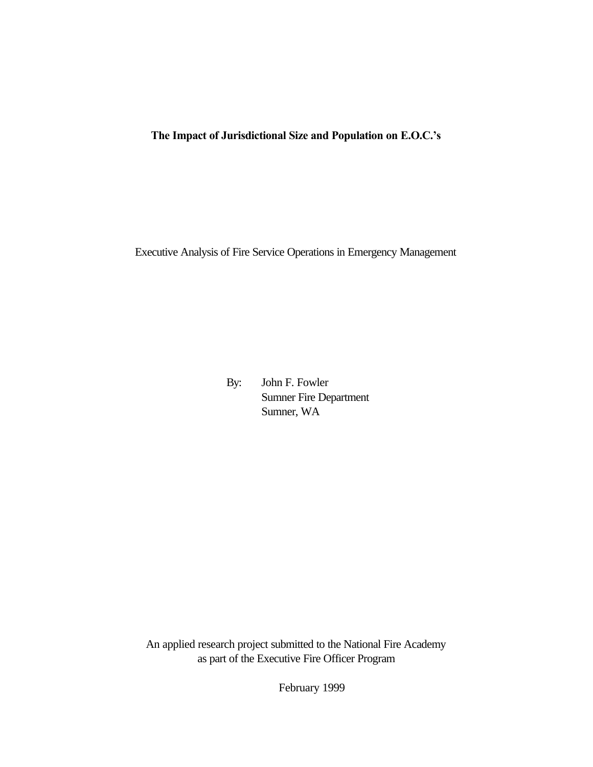# **The Impact of Jurisdictional Size and Population on E.O.C.'s**

Executive Analysis of Fire Service Operations in Emergency Management

By: John F. Fowler Sumner Fire Department Sumner, WA

An applied research project submitted to the National Fire Academy as part of the Executive Fire Officer Program

February 1999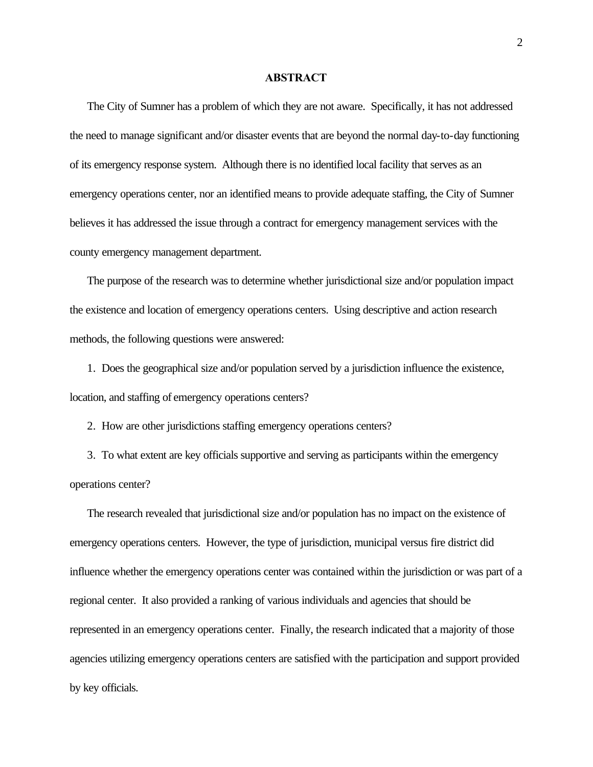#### **ABSTRACT**

The City of Sumner has a problem of which they are not aware. Specifically, it has not addressed the need to manage significant and/or disaster events that are beyond the normal day-to-day functioning of its emergency response system. Although there is no identified local facility that serves as an emergency operations center, nor an identified means to provide adequate staffing, the City of Sumner believes it has addressed the issue through a contract for emergency management services with the county emergency management department.

The purpose of the research was to determine whether jurisdictional size and/or population impact the existence and location of emergency operations centers. Using descriptive and action research methods, the following questions were answered:

1. Does the geographical size and/or population served by a jurisdiction influence the existence, location, and staffing of emergency operations centers?

2. How are other jurisdictions staffing emergency operations centers?

3. To what extent are key officials supportive and serving as participants within the emergency operations center?

The research revealed that jurisdictional size and/or population has no impact on the existence of emergency operations centers. However, the type of jurisdiction, municipal versus fire district did influence whether the emergency operations center was contained within the jurisdiction or was part of a regional center. It also provided a ranking of various individuals and agencies that should be represented in an emergency operations center. Finally, the research indicated that a majority of those agencies utilizing emergency operations centers are satisfied with the participation and support provided by key officials.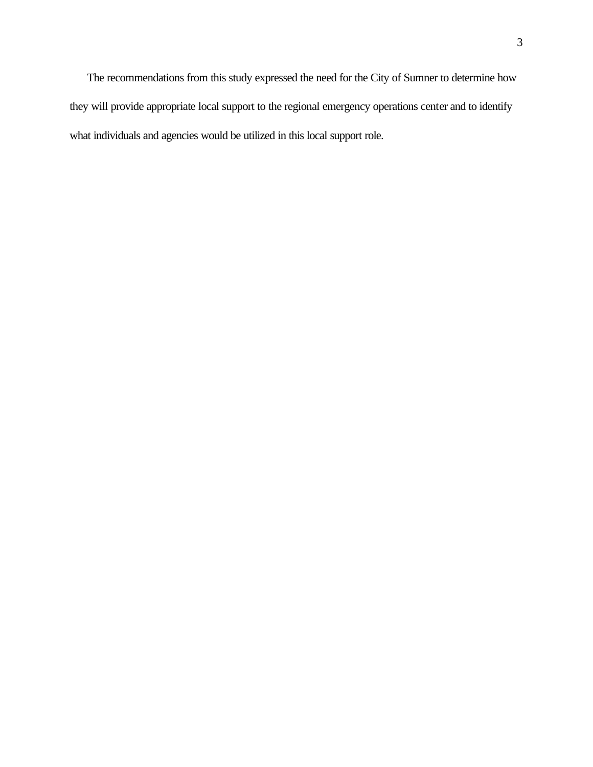The recommendations from this study expressed the need for the City of Sumner to determine how they will provide appropriate local support to the regional emergency operations center and to identify what individuals and agencies would be utilized in this local support role.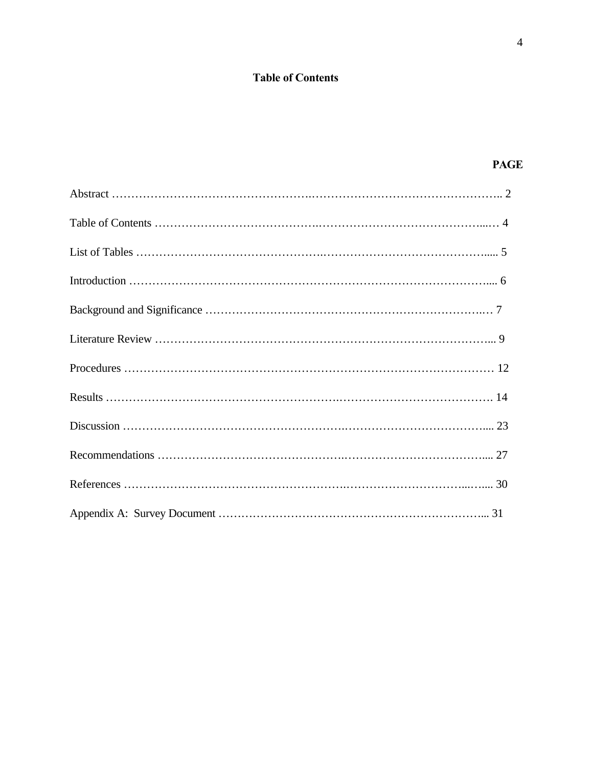# **Table of Contents**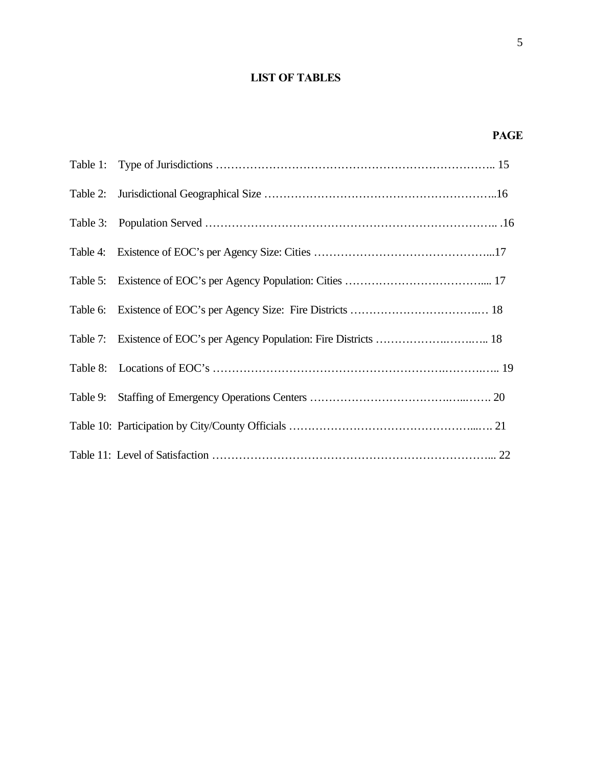# **LIST OF TABLES**

| Table 7: Existence of EOC's per Agency Population: Fire Districts  18 |
|-----------------------------------------------------------------------|
|                                                                       |
|                                                                       |
|                                                                       |
|                                                                       |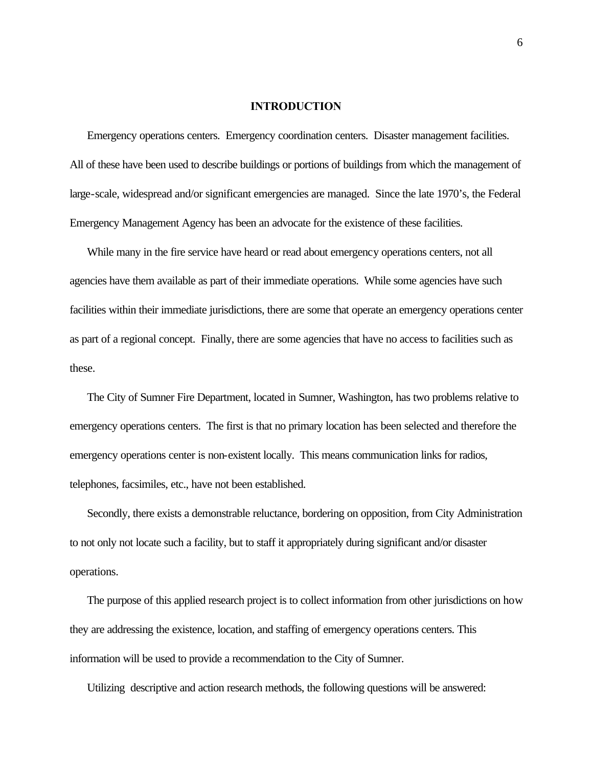## **INTRODUCTION**

Emergency operations centers. Emergency coordination centers. Disaster management facilities. All of these have been used to describe buildings or portions of buildings from which the management of large-scale, widespread and/or significant emergencies are managed. Since the late 1970's, the Federal Emergency Management Agency has been an advocate for the existence of these facilities.

While many in the fire service have heard or read about emergency operations centers, not all agencies have them available as part of their immediate operations. While some agencies have such facilities within their immediate jurisdictions, there are some that operate an emergency operations center as part of a regional concept. Finally, there are some agencies that have no access to facilities such as these.

The City of Sumner Fire Department, located in Sumner, Washington, has two problems relative to emergency operations centers. The first is that no primary location has been selected and therefore the emergency operations center is non-existent locally. This means communication links for radios, telephones, facsimiles, etc., have not been established.

Secondly, there exists a demonstrable reluctance, bordering on opposition, from City Administration to not only not locate such a facility, but to staff it appropriately during significant and/or disaster operations.

The purpose of this applied research project is to collect information from other jurisdictions on how they are addressing the existence, location, and staffing of emergency operations centers. This information will be used to provide a recommendation to the City of Sumner.

Utilizing descriptive and action research methods, the following questions will be answered: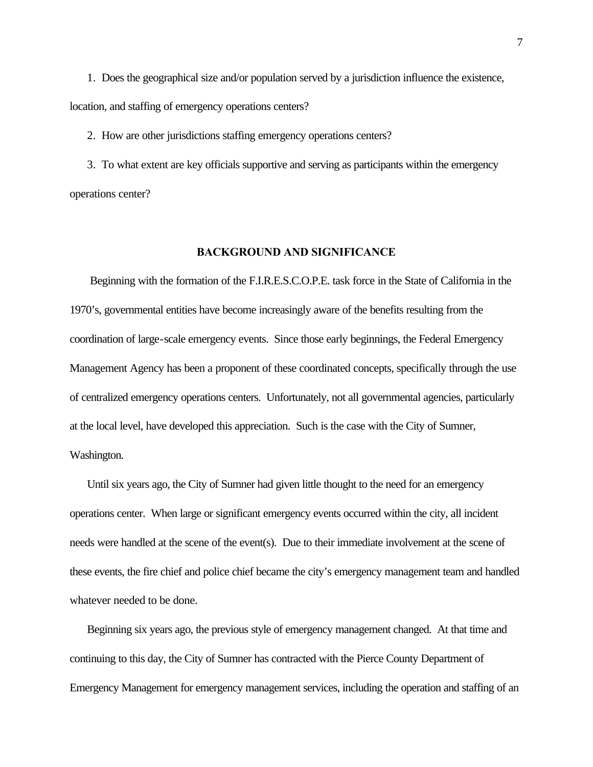1. Does the geographical size and/or population served by a jurisdiction influence the existence, location, and staffing of emergency operations centers?

2. How are other jurisdictions staffing emergency operations centers?

3. To what extent are key officials supportive and serving as participants within the emergency operations center?

# **BACKGROUND AND SIGNIFICANCE**

 Beginning with the formation of the F.I.R.E.S.C.O.P.E. task force in the State of California in the 1970's, governmental entities have become increasingly aware of the benefits resulting from the coordination of large-scale emergency events. Since those early beginnings, the Federal Emergency Management Agency has been a proponent of these coordinated concepts, specifically through the use of centralized emergency operations centers. Unfortunately, not all governmental agencies, particularly at the local level, have developed this appreciation. Such is the case with the City of Sumner, Washington.

Until six years ago, the City of Sumner had given little thought to the need for an emergency operations center. When large or significant emergency events occurred within the city, all incident needs were handled at the scene of the event(s). Due to their immediate involvement at the scene of these events, the fire chief and police chief became the city's emergency management team and handled whatever needed to be done.

Beginning six years ago, the previous style of emergency management changed. At that time and continuing to this day, the City of Sumner has contracted with the Pierce County Department of Emergency Management for emergency management services, including the operation and staffing of an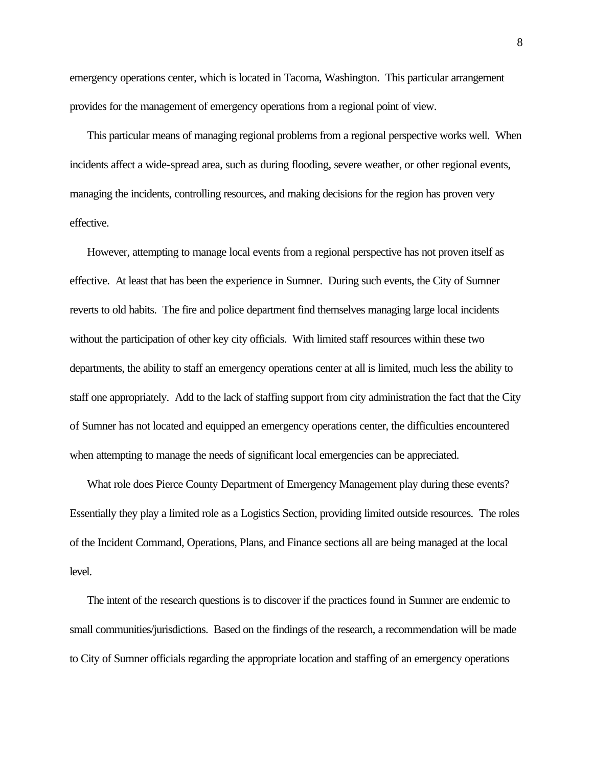emergency operations center, which is located in Tacoma, Washington. This particular arrangement provides for the management of emergency operations from a regional point of view.

This particular means of managing regional problems from a regional perspective works well. When incidents affect a wide-spread area, such as during flooding, severe weather, or other regional events, managing the incidents, controlling resources, and making decisions for the region has proven very effective.

However, attempting to manage local events from a regional perspective has not proven itself as effective. At least that has been the experience in Sumner. During such events, the City of Sumner reverts to old habits. The fire and police department find themselves managing large local incidents without the participation of other key city officials. With limited staff resources within these two departments, the ability to staff an emergency operations center at all is limited, much less the ability to staff one appropriately. Add to the lack of staffing support from city administration the fact that the City of Sumner has not located and equipped an emergency operations center, the difficulties encountered when attempting to manage the needs of significant local emergencies can be appreciated.

What role does Pierce County Department of Emergency Management play during these events? Essentially they play a limited role as a Logistics Section, providing limited outside resources. The roles of the Incident Command, Operations, Plans, and Finance sections all are being managed at the local level.

The intent of the research questions is to discover if the practices found in Sumner are endemic to small communities/jurisdictions. Based on the findings of the research, a recommendation will be made to City of Sumner officials regarding the appropriate location and staffing of an emergency operations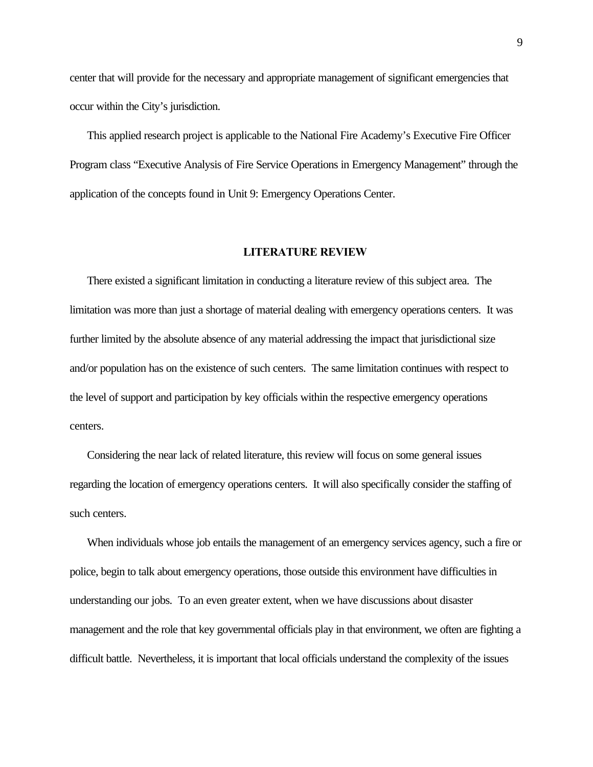center that will provide for the necessary and appropriate management of significant emergencies that occur within the City's jurisdiction.

This applied research project is applicable to the National Fire Academy's Executive Fire Officer Program class "Executive Analysis of Fire Service Operations in Emergency Management" through the application of the concepts found in Unit 9: Emergency Operations Center.

# **LITERATURE REVIEW**

There existed a significant limitation in conducting a literature review of this subject area. The limitation was more than just a shortage of material dealing with emergency operations centers. It was further limited by the absolute absence of any material addressing the impact that jurisdictional size and/or population has on the existence of such centers. The same limitation continues with respect to the level of support and participation by key officials within the respective emergency operations centers.

Considering the near lack of related literature, this review will focus on some general issues regarding the location of emergency operations centers. It will also specifically consider the staffing of such centers.

When individuals whose job entails the management of an emergency services agency, such a fire or police, begin to talk about emergency operations, those outside this environment have difficulties in understanding our jobs. To an even greater extent, when we have discussions about disaster management and the role that key governmental officials play in that environment, we often are fighting a difficult battle. Nevertheless, it is important that local officials understand the complexity of the issues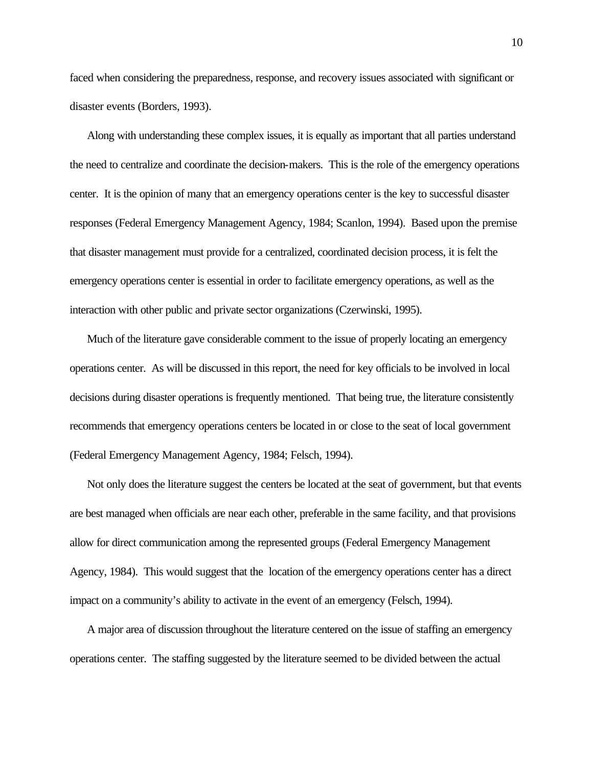faced when considering the preparedness, response, and recovery issues associated with significant or disaster events (Borders, 1993).

Along with understanding these complex issues, it is equally as important that all parties understand the need to centralize and coordinate the decision-makers. This is the role of the emergency operations center. It is the opinion of many that an emergency operations center is the key to successful disaster responses (Federal Emergency Management Agency, 1984; Scanlon, 1994). Based upon the premise that disaster management must provide for a centralized, coordinated decision process, it is felt the emergency operations center is essential in order to facilitate emergency operations, as well as the interaction with other public and private sector organizations (Czerwinski, 1995).

Much of the literature gave considerable comment to the issue of properly locating an emergency operations center. As will be discussed in this report, the need for key officials to be involved in local decisions during disaster operations is frequently mentioned. That being true, the literature consistently recommends that emergency operations centers be located in or close to the seat of local government (Federal Emergency Management Agency, 1984; Felsch, 1994).

Not only does the literature suggest the centers be located at the seat of government, but that events are best managed when officials are near each other, preferable in the same facility, and that provisions allow for direct communication among the represented groups (Federal Emergency Management Agency, 1984). This would suggest that the location of the emergency operations center has a direct impact on a community's ability to activate in the event of an emergency (Felsch, 1994).

A major area of discussion throughout the literature centered on the issue of staffing an emergency operations center. The staffing suggested by the literature seemed to be divided between the actual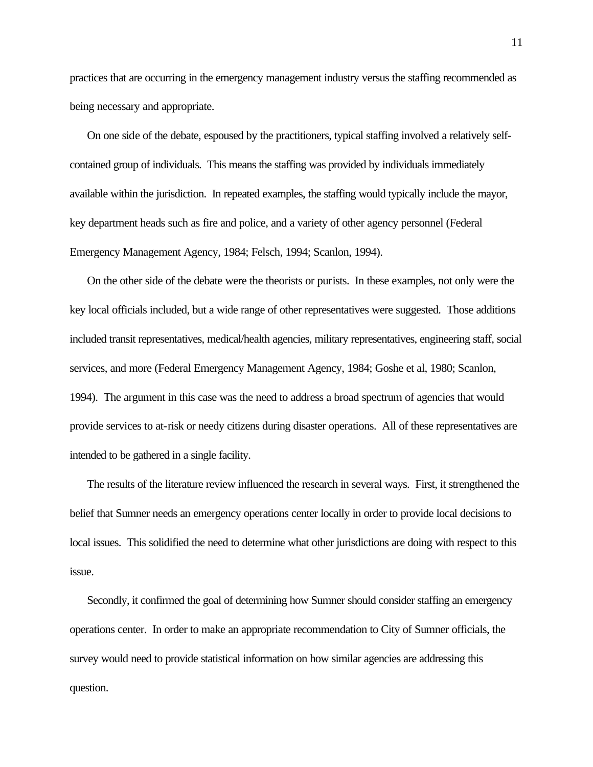practices that are occurring in the emergency management industry versus the staffing recommended as being necessary and appropriate.

On one side of the debate, espoused by the practitioners, typical staffing involved a relatively selfcontained group of individuals. This means the staffing was provided by individuals immediately available within the jurisdiction. In repeated examples, the staffing would typically include the mayor, key department heads such as fire and police, and a variety of other agency personnel (Federal Emergency Management Agency, 1984; Felsch, 1994; Scanlon, 1994).

On the other side of the debate were the theorists or purists. In these examples, not only were the key local officials included, but a wide range of other representatives were suggested. Those additions included transit representatives, medical/health agencies, military representatives, engineering staff, social services, and more (Federal Emergency Management Agency, 1984; Goshe et al, 1980; Scanlon, 1994). The argument in this case was the need to address a broad spectrum of agencies that would provide services to at-risk or needy citizens during disaster operations. All of these representatives are intended to be gathered in a single facility.

The results of the literature review influenced the research in several ways. First, it strengthened the belief that Sumner needs an emergency operations center locally in order to provide local decisions to local issues. This solidified the need to determine what other jurisdictions are doing with respect to this issue.

Secondly, it confirmed the goal of determining how Sumner should consider staffing an emergency operations center. In order to make an appropriate recommendation to City of Sumner officials, the survey would need to provide statistical information on how similar agencies are addressing this question.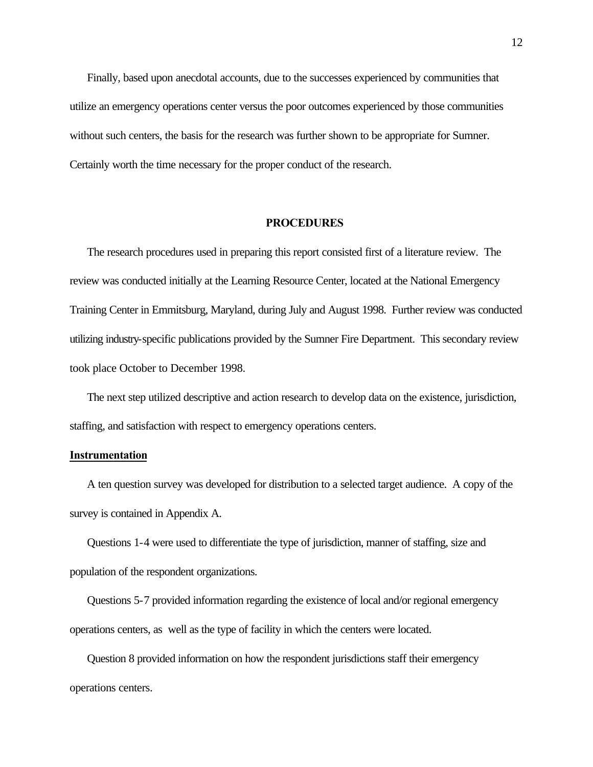Finally, based upon anecdotal accounts, due to the successes experienced by communities that utilize an emergency operations center versus the poor outcomes experienced by those communities without such centers, the basis for the research was further shown to be appropriate for Sumner. Certainly worth the time necessary for the proper conduct of the research.

#### **PROCEDURES**

The research procedures used in preparing this report consisted first of a literature review. The review was conducted initially at the Learning Resource Center, located at the National Emergency Training Center in Emmitsburg, Maryland, during July and August 1998. Further review was conducted utilizing industry-specific publications provided by the Sumner Fire Department. This secondary review took place October to December 1998.

The next step utilized descriptive and action research to develop data on the existence, jurisdiction, staffing, and satisfaction with respect to emergency operations centers.

#### **Instrumentation**

A ten question survey was developed for distribution to a selected target audience. A copy of the survey is contained in Appendix A.

Questions 1-4 were used to differentiate the type of jurisdiction, manner of staffing, size and population of the respondent organizations.

Questions 5-7 provided information regarding the existence of local and/or regional emergency operations centers, as well as the type of facility in which the centers were located.

Question 8 provided information on how the respondent jurisdictions staff their emergency operations centers.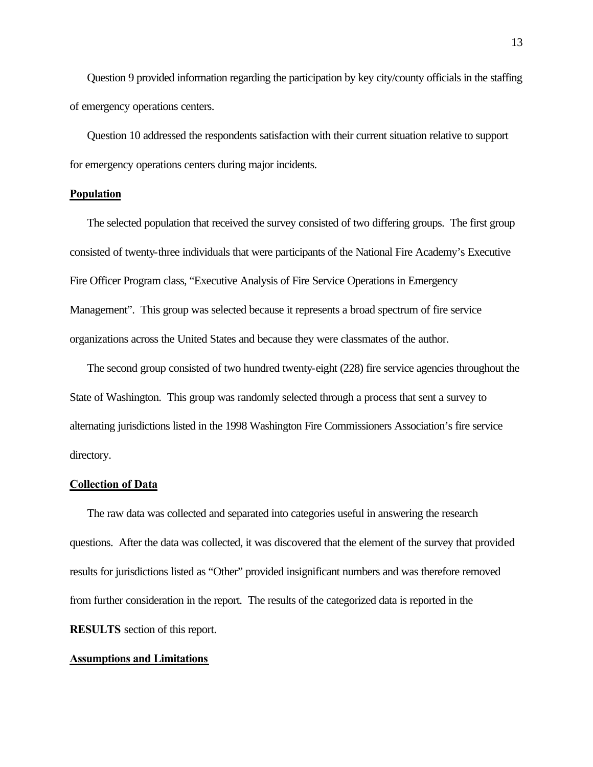Question 9 provided information regarding the participation by key city/county officials in the staffing of emergency operations centers.

Question 10 addressed the respondents satisfaction with their current situation relative to support for emergency operations centers during major incidents.

# **Population**

The selected population that received the survey consisted of two differing groups. The first group consisted of twenty-three individuals that were participants of the National Fire Academy's Executive Fire Officer Program class, "Executive Analysis of Fire Service Operations in Emergency Management". This group was selected because it represents a broad spectrum of fire service organizations across the United States and because they were classmates of the author.

The second group consisted of two hundred twenty-eight (228) fire service agencies throughout the State of Washington. This group was randomly selected through a process that sent a survey to alternating jurisdictions listed in the 1998 Washington Fire Commissioners Association's fire service directory.

#### **Collection of Data**

The raw data was collected and separated into categories useful in answering the research questions. After the data was collected, it was discovered that the element of the survey that provided results for jurisdictions listed as "Other" provided insignificant numbers and was therefore removed from further consideration in the report. The results of the categorized data is reported in the **RESULTS** section of this report.

#### **Assumptions and Limitations**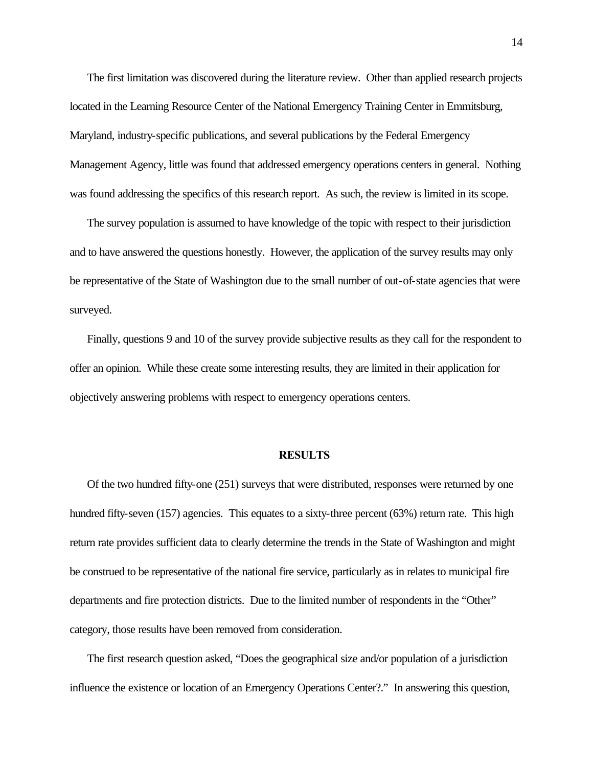The first limitation was discovered during the literature review. Other than applied research projects located in the Learning Resource Center of the National Emergency Training Center in Emmitsburg, Maryland, industry-specific publications, and several publications by the Federal Emergency Management Agency, little was found that addressed emergency operations centers in general. Nothing was found addressing the specifics of this research report. As such, the review is limited in its scope.

The survey population is assumed to have knowledge of the topic with respect to their jurisdiction and to have answered the questions honestly. However, the application of the survey results may only be representative of the State of Washington due to the small number of out-of-state agencies that were surveyed.

Finally, questions 9 and 10 of the survey provide subjective results as they call for the respondent to offer an opinion. While these create some interesting results, they are limited in their application for objectively answering problems with respect to emergency operations centers.

#### **RESULTS**

Of the two hundred fifty-one (251) surveys that were distributed, responses were returned by one hundred fifty-seven (157) agencies. This equates to a sixty-three percent (63%) return rate. This high return rate provides sufficient data to clearly determine the trends in the State of Washington and might be construed to be representative of the national fire service, particularly as in relates to municipal fire departments and fire protection districts. Due to the limited number of respondents in the "Other" category, those results have been removed from consideration.

The first research question asked, "Does the geographical size and/or population of a jurisdiction influence the existence or location of an Emergency Operations Center?." In answering this question,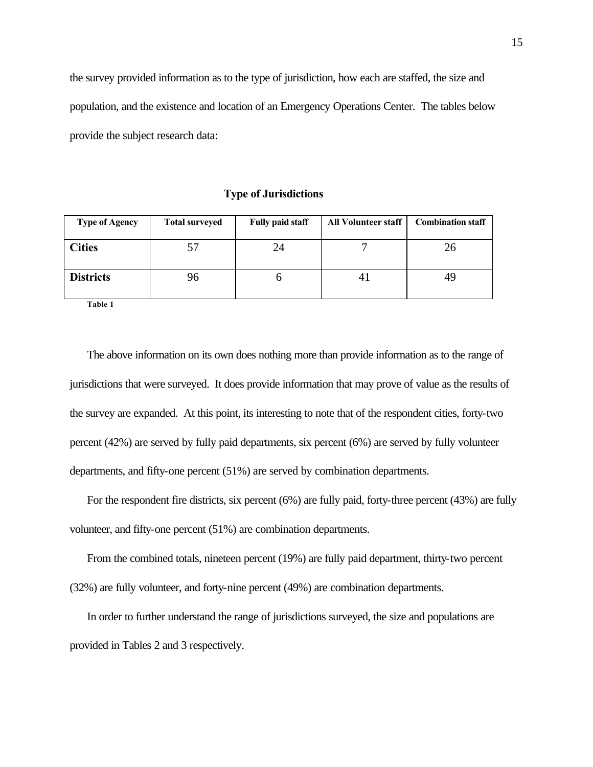the survey provided information as to the type of jurisdiction, how each are staffed, the size and population, and the existence and location of an Emergency Operations Center. The tables below provide the subject research data:

**Type of Jurisdictions**

| <b>Type of Agency</b>   | <b>Total surveyed</b> | <b>Fully paid staff</b> | <b>All Volunteer staff</b> | <b>Combination staff</b> |
|-------------------------|-----------------------|-------------------------|----------------------------|--------------------------|
| <b>Cities</b>           | 57                    | 24                      |                            | 26                       |
| <b>Districts</b><br>--- | 96                    |                         | 4 <sub>1</sub>             | 49                       |

**Table 1**

The above information on its own does nothing more than provide information as to the range of jurisdictions that were surveyed. It does provide information that may prove of value as the results of the survey are expanded. At this point, its interesting to note that of the respondent cities, forty-two percent (42%) are served by fully paid departments, six percent (6%) are served by fully volunteer departments, and fifty-one percent (51%) are served by combination departments.

For the respondent fire districts, six percent (6%) are fully paid, forty-three percent (43%) are fully volunteer, and fifty-one percent (51%) are combination departments.

From the combined totals, nineteen percent (19%) are fully paid department, thirty-two percent (32%) are fully volunteer, and forty-nine percent (49%) are combination departments.

In order to further understand the range of jurisdictions surveyed, the size and populations are provided in Tables 2 and 3 respectively.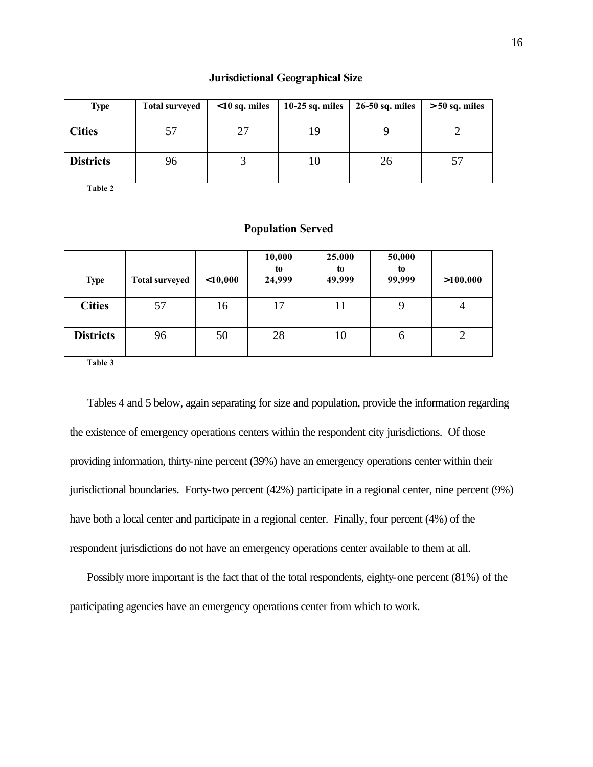#### **Jurisdictional Geographical Size**

| <b>Type</b>      | <b>Total surveyed</b> | $10$ sq. miles | $10-25$ sq. miles | 26-50 sq. miles | $> 50$ sq. miles |
|------------------|-----------------------|----------------|-------------------|-----------------|------------------|
| <b>Cities</b>    |                       |                | 19                |                 |                  |
| <b>Districts</b> | 96                    |                | 10                | 26              |                  |

**Table 2**

#### **Population Served**

| <b>Type</b>      | <b>Total surveyed</b> | 10,000 | 10,000<br>to<br>24,999 | 25,000<br>to<br>49,999 | 50,000<br>to<br>99,999 | >100,000       |
|------------------|-----------------------|--------|------------------------|------------------------|------------------------|----------------|
| <b>Cities</b>    | 57                    | 16     | 17                     | 11                     | 9                      | 4              |
| <b>Districts</b> | 96                    | 50     | 28                     | 10                     | $\mathfrak b$          | $\overline{2}$ |

**Table 3**

Tables 4 and 5 below, again separating for size and population, provide the information regarding the existence of emergency operations centers within the respondent city jurisdictions. Of those providing information, thirty-nine percent (39%) have an emergency operations center within their jurisdictional boundaries. Forty-two percent (42%) participate in a regional center, nine percent (9%) have both a local center and participate in a regional center. Finally, four percent (4%) of the respondent jurisdictions do not have an emergency operations center available to them at all.

Possibly more important is the fact that of the total respondents, eighty-one percent (81%) of the participating agencies have an emergency operations center from which to work.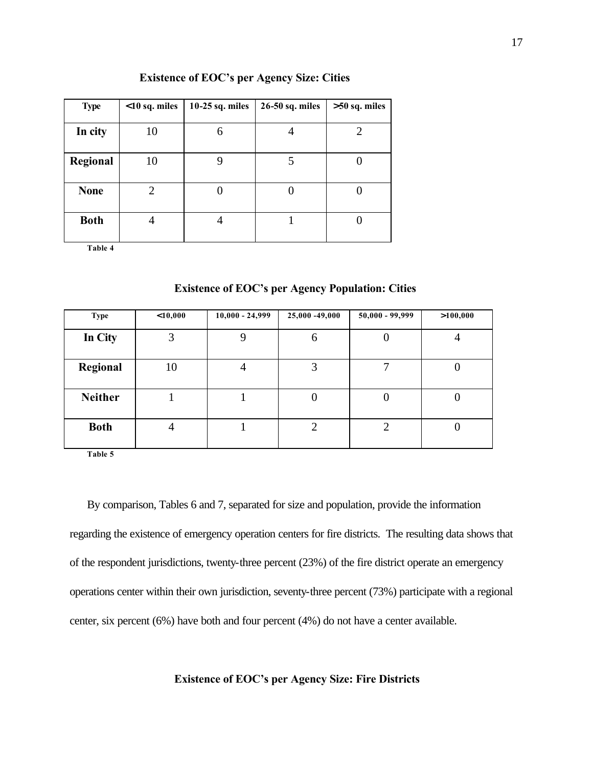| <b>Type</b> | $10$ sq. miles | 10-25 sq. miles | 26-50 sq. miles | $>50$ sq. miles |
|-------------|----------------|-----------------|-----------------|-----------------|
|             |                |                 |                 |                 |
| In city     | 10             |                 |                 | 2               |
|             |                |                 |                 |                 |
| Regional    | 10             |                 |                 |                 |
|             |                |                 |                 |                 |
| <b>None</b> | 2              |                 |                 |                 |
|             |                |                 |                 |                 |
| <b>Both</b> |                |                 |                 |                 |
|             |                |                 |                 |                 |

# **Existence of EOC's per Agency Size: Cities**

**Table 4**

| <b>Type</b>    | 10,000         | $10,000 - 24,999$ | 25,000 -49,000 | $50,000 - 99,999$ | >100,000 |
|----------------|----------------|-------------------|----------------|-------------------|----------|
| In City        | 3              | 9                 | 6              | U                 | 4        |
| Regional       | 10             | 4                 | 3              |                   |          |
| <b>Neither</b> |                |                   |                | 0                 |          |
| <b>Both</b>    | $\overline{4}$ |                   | ↑              | 2                 |          |

**Existence of EOC's per Agency Population: Cities**

**Table 5**

By comparison, Tables 6 and 7, separated for size and population, provide the information regarding the existence of emergency operation centers for fire districts. The resulting data shows that of the respondent jurisdictions, twenty-three percent (23%) of the fire district operate an emergency operations center within their own jurisdiction, seventy-three percent (73%) participate with a regional center, six percent (6%) have both and four percent (4%) do not have a center available.

**Existence of EOC's per Agency Size: Fire Districts**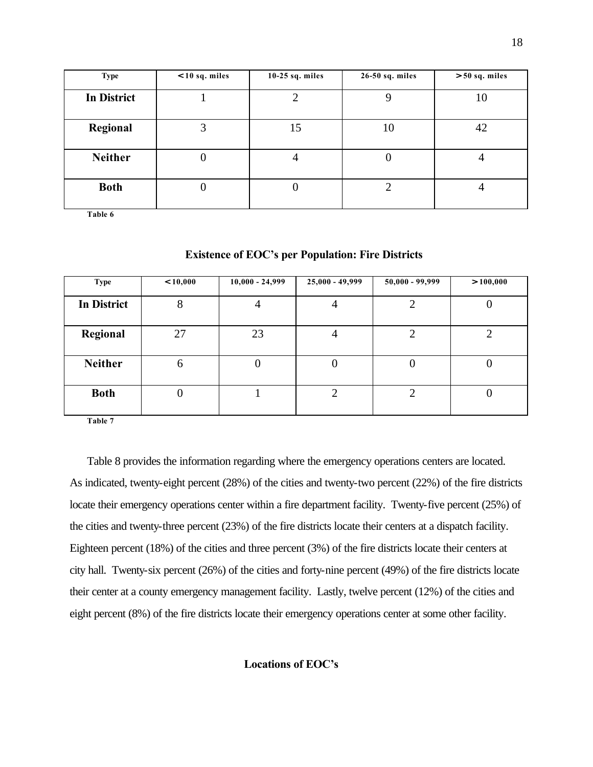| <b>Type</b>        | $<$ 10 sq. miles | $10-25$ sq. miles | 26-50 sq. miles | $> 50$ sq. miles |
|--------------------|------------------|-------------------|-----------------|------------------|
| <b>In District</b> |                  |                   |                 | 10               |
| Regional           | 3                | 15                | 10              | 42               |
| <b>Neither</b>     | U                | 4                 | U               |                  |
| <b>Both</b>        |                  |                   |                 |                  |

**Table 6**

| <b>Type</b>        | < 10,000 | $10,000 - 24,999$ | $25,000 - 49,999$ | $50,000 - 99,999$ | > 100,000 |
|--------------------|----------|-------------------|-------------------|-------------------|-----------|
| <b>In District</b> | 8        | 4                 | $\overline{4}$    | 2                 |           |
| Regional           | 27       | 23                | $\overline{4}$    |                   |           |
| <b>Neither</b>     | 6        | 0                 | 0                 | U                 |           |
| <b>Both</b>        | O        |                   |                   |                   |           |

# **Existence of EOC's per Population: Fire Districts**

**Table 7**

Table 8 provides the information regarding where the emergency operations centers are located. As indicated, twenty-eight percent (28%) of the cities and twenty-two percent (22%) of the fire districts locate their emergency operations center within a fire department facility. Twenty-five percent (25%) of the cities and twenty-three percent (23%) of the fire districts locate their centers at a dispatch facility. Eighteen percent (18%) of the cities and three percent (3%) of the fire districts locate their centers at city hall. Twenty-six percent (26%) of the cities and forty-nine percent (49%) of the fire districts locate their center at a county emergency management facility. Lastly, twelve percent (12%) of the cities and eight percent (8%) of the fire districts locate their emergency operations center at some other facility.

**Locations of EOC's**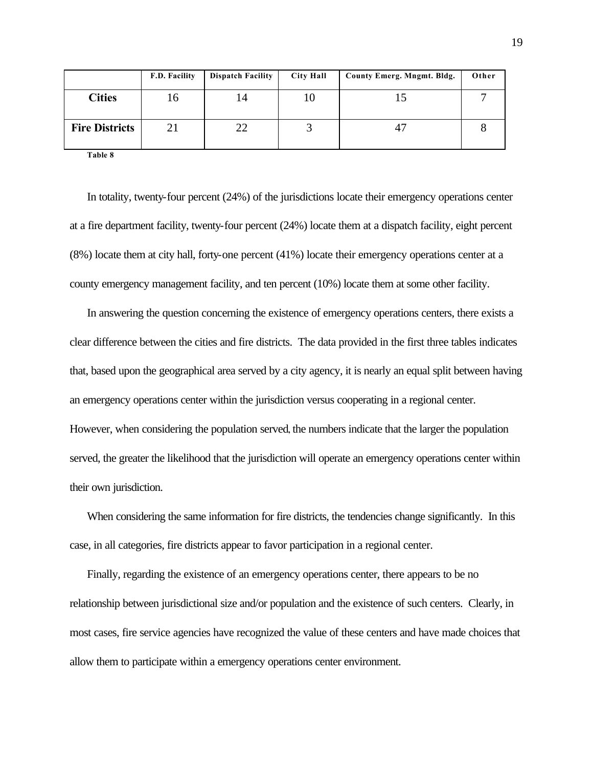|                       | F.D. Facility | <b>Dispatch Facility</b> | <b>City Hall</b> | County Emerg. Mngmt. Bldg. | Other |
|-----------------------|---------------|--------------------------|------------------|----------------------------|-------|
| <b>Cities</b>         | 16            | 14                       | 10               |                            |       |
| <b>Fire Districts</b> | 21            | 22                       |                  |                            |       |

**Table 8**

In totality, twenty-four percent (24%) of the jurisdictions locate their emergency operations center at a fire department facility, twenty-four percent (24%) locate them at a dispatch facility, eight percent (8%) locate them at city hall, forty-one percent (41%) locate their emergency operations center at a county emergency management facility, and ten percent (10%) locate them at some other facility.

In answering the question concerning the existence of emergency operations centers, there exists a clear difference between the cities and fire districts. The data provided in the first three tables indicates that, based upon the geographical area served by a city agency, it is nearly an equal split between having an emergency operations center within the jurisdiction versus cooperating in a regional center. However, when considering the population served**,** the numbers indicate that the larger the population served, the greater the likelihood that the jurisdiction will operate an emergency operations center within their own jurisdiction.

When considering the same information for fire districts, the tendencies change significantly. In this case, in all categories, fire districts appear to favor participation in a regional center.

Finally, regarding the existence of an emergency operations center, there appears to be no relationship between jurisdictional size and/or population and the existence of such centers. Clearly, in most cases, fire service agencies have recognized the value of these centers and have made choices that allow them to participate within a emergency operations center environment.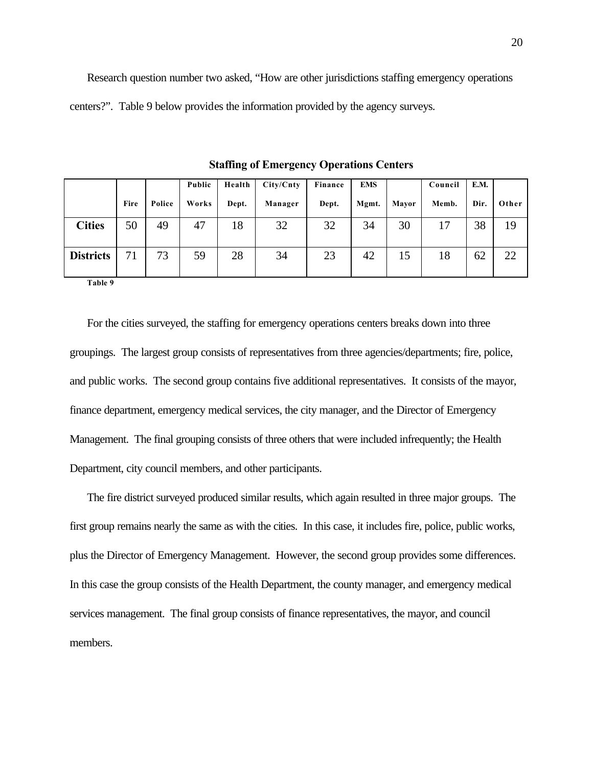Research question number two asked, "How are other jurisdictions staffing emergency operations centers?". Table 9 below provides the information provided by the agency surveys.

|                  |      |        | Public | Health | City/Cnty | Finance | <b>EMS</b> |       | Council | E.M. |       |
|------------------|------|--------|--------|--------|-----------|---------|------------|-------|---------|------|-------|
|                  | Fire | Police | Works  | Dept.  | Manager   | Dept.   | Mgmt.      | Mavor | Memb.   | Dir. | Other |
| <b>Cities</b>    | 50   | 49     | 47     | 18     | 32        | 32      | 34         | 30    | 17      | 38   | 19    |
| <b>Districts</b> | 71   | 73     | 59     | 28     | 34        | 23      | 42         | 15    | 18      | 62   | 22    |

**Staffing of Emergency Operations Centers**

**Table 9**

For the cities surveyed, the staffing for emergency operations centers breaks down into three groupings. The largest group consists of representatives from three agencies/departments; fire, police, and public works. The second group contains five additional representatives. It consists of the mayor, finance department, emergency medical services, the city manager, and the Director of Emergency Management. The final grouping consists of three others that were included infrequently; the Health Department, city council members, and other participants.

The fire district surveyed produced similar results, which again resulted in three major groups. The first group remains nearly the same as with the cities. In this case, it includes fire, police, public works, plus the Director of Emergency Management. However, the second group provides some differences. In this case the group consists of the Health Department, the county manager, and emergency medical services management. The final group consists of finance representatives, the mayor, and council members.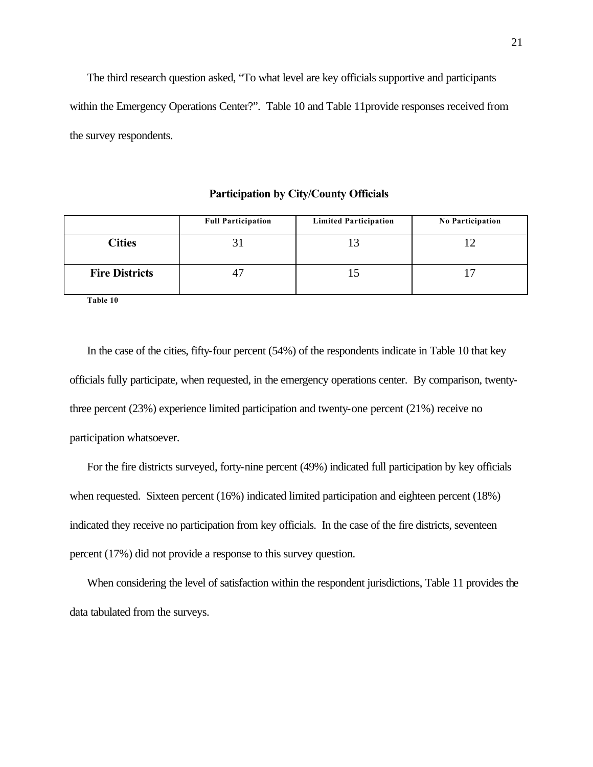The third research question asked, "To what level are key officials supportive and participants within the Emergency Operations Center?". Table 10 and Table 11provide responses received from the survey respondents.

|                       | <b>Full Participation</b> | <b>Limited Participation</b> | <b>No Participation</b> |
|-----------------------|---------------------------|------------------------------|-------------------------|
| <b>Cities</b>         |                           |                              |                         |
| <b>Fire Districts</b> |                           |                              |                         |

**Participation by City/County Officials**

**Table 10**

In the case of the cities, fifty-four percent (54%) of the respondents indicate in Table 10 that key officials fully participate, when requested, in the emergency operations center. By comparison, twentythree percent (23%) experience limited participation and twenty-one percent (21%) receive no participation whatsoever.

For the fire districts surveyed, forty-nine percent (49%) indicated full participation by key officials when requested. Sixteen percent (16%) indicated limited participation and eighteen percent (18%) indicated they receive no participation from key officials. In the case of the fire districts, seventeen percent (17%) did not provide a response to this survey question.

When considering the level of satisfaction within the respondent jurisdictions, Table 11 provides the data tabulated from the surveys.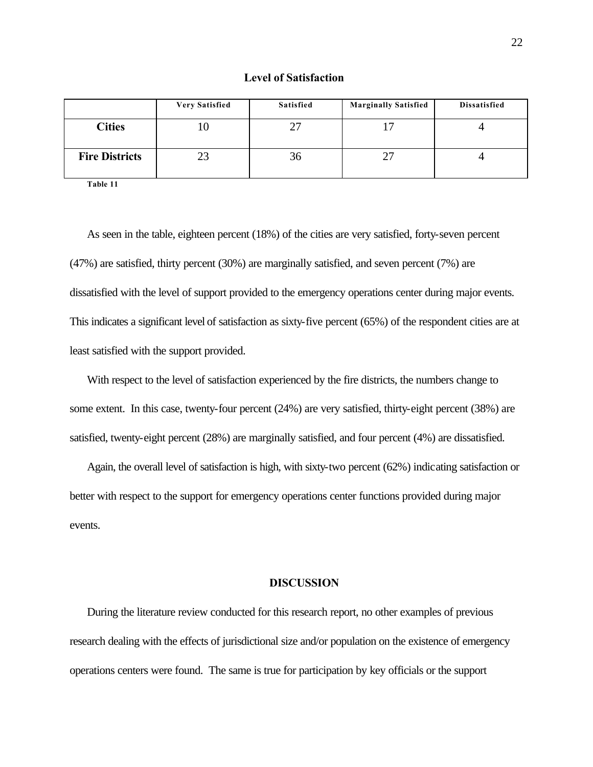|  | <b>Level of Satisfaction</b> |
|--|------------------------------|
|  |                              |

|                       | <b>Very Satisfied</b> | <b>Satisfied</b> | <b>Marginally Satisfied</b> | Dissatisfied |
|-----------------------|-----------------------|------------------|-----------------------------|--------------|
| <b>Cities</b>         | ΙU                    |                  | $\overline{1}$              |              |
| <b>Fire Districts</b> | 23                    | 36               | 27                          |              |

**Table 11**

As seen in the table, eighteen percent (18%) of the cities are very satisfied, forty-seven percent (47%) are satisfied, thirty percent (30%) are marginally satisfied, and seven percent (7%) are dissatisfied with the level of support provided to the emergency operations center during major events. This indicates a significant level of satisfaction as sixty-five percent (65%) of the respondent cities are at least satisfied with the support provided.

With respect to the level of satisfaction experienced by the fire districts, the numbers change to some extent. In this case, twenty-four percent (24%) are very satisfied, thirty-eight percent (38%) are satisfied, twenty-eight percent (28%) are marginally satisfied, and four percent (4%) are dissatisfied.

Again, the overall level of satisfaction is high, with sixty-two percent (62%) indicating satisfaction or better with respect to the support for emergency operations center functions provided during major events.

#### **DISCUSSION**

During the literature review conducted for this research report, no other examples of previous research dealing with the effects of jurisdictional size and/or population on the existence of emergency operations centers were found. The same is true for participation by key officials or the support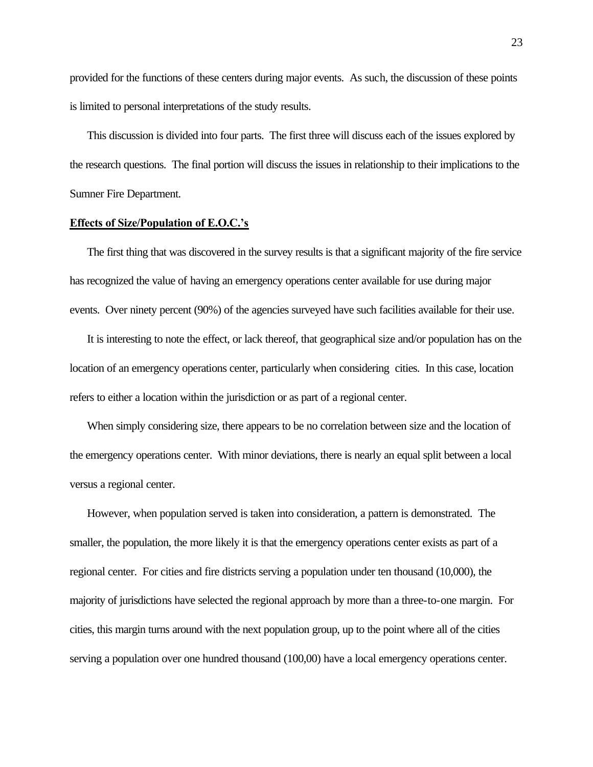provided for the functions of these centers during major events. As such, the discussion of these points is limited to personal interpretations of the study results.

This discussion is divided into four parts. The first three will discuss each of the issues explored by the research questions. The final portion will discuss the issues in relationship to their implications to the Sumner Fire Department.

## **Effects of Size/Population of E.O.C.'s**

The first thing that was discovered in the survey results is that a significant majority of the fire service has recognized the value of having an emergency operations center available for use during major events. Over ninety percent (90%) of the agencies surveyed have such facilities available for their use.

It is interesting to note the effect, or lack thereof, that geographical size and/or population has on the location of an emergency operations center, particularly when considering cities. In this case, location refers to either a location within the jurisdiction or as part of a regional center.

When simply considering size, there appears to be no correlation between size and the location of the emergency operations center. With minor deviations, there is nearly an equal split between a local versus a regional center.

However, when population served is taken into consideration, a pattern is demonstrated. The smaller, the population, the more likely it is that the emergency operations center exists as part of a regional center. For cities and fire districts serving a population under ten thousand (10,000), the majority of jurisdictions have selected the regional approach by more than a three-to-one margin. For cities, this margin turns around with the next population group, up to the point where all of the cities serving a population over one hundred thousand (100,00) have a local emergency operations center.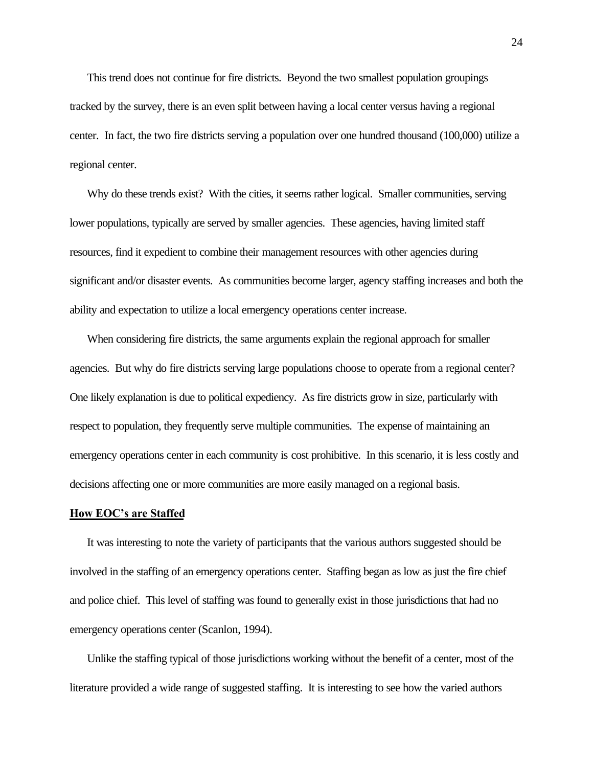This trend does not continue for fire districts. Beyond the two smallest population groupings tracked by the survey, there is an even split between having a local center versus having a regional center. In fact, the two fire districts serving a population over one hundred thousand (100,000) utilize a regional center.

Why do these trends exist? With the cities, it seems rather logical. Smaller communities, serving lower populations, typically are served by smaller agencies. These agencies, having limited staff resources, find it expedient to combine their management resources with other agencies during significant and/or disaster events. As communities become larger, agency staffing increases and both the ability and expectation to utilize a local emergency operations center increase.

When considering fire districts, the same arguments explain the regional approach for smaller agencies. But why do fire districts serving large populations choose to operate from a regional center? One likely explanation is due to political expediency. As fire districts grow in size, particularly with respect to population, they frequently serve multiple communities. The expense of maintaining an emergency operations center in each community is cost prohibitive. In this scenario, it is less costly and decisions affecting one or more communities are more easily managed on a regional basis.

#### **How EOC's are Staffed**

It was interesting to note the variety of participants that the various authors suggested should be involved in the staffing of an emergency operations center. Staffing began as low as just the fire chief and police chief. This level of staffing was found to generally exist in those jurisdictions that had no emergency operations center (Scanlon, 1994).

Unlike the staffing typical of those jurisdictions working without the benefit of a center, most of the literature provided a wide range of suggested staffing. It is interesting to see how the varied authors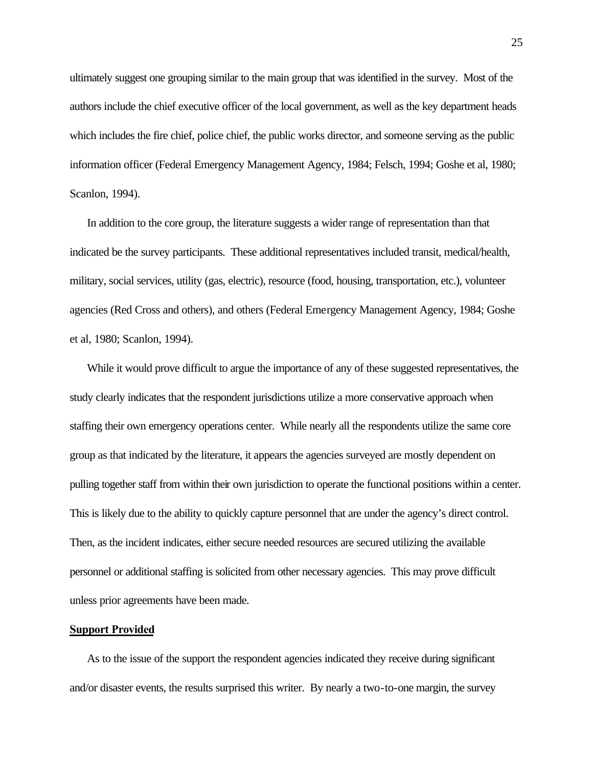ultimately suggest one grouping similar to the main group that was identified in the survey. Most of the authors include the chief executive officer of the local government, as well as the key department heads which includes the fire chief, police chief, the public works director, and someone serving as the public information officer (Federal Emergency Management Agency, 1984; Felsch, 1994; Goshe et al, 1980; Scanlon, 1994).

In addition to the core group, the literature suggests a wider range of representation than that indicated be the survey participants. These additional representatives included transit, medical/health, military, social services, utility (gas, electric), resource (food, housing, transportation, etc.), volunteer agencies (Red Cross and others), and others (Federal Emergency Management Agency, 1984; Goshe et al, 1980; Scanlon, 1994).

While it would prove difficult to argue the importance of any of these suggested representatives, the study clearly indicates that the respondent jurisdictions utilize a more conservative approach when staffing their own emergency operations center. While nearly all the respondents utilize the same core group as that indicated by the literature, it appears the agencies surveyed are mostly dependent on pulling together staff from within their own jurisdiction to operate the functional positions within a center. This is likely due to the ability to quickly capture personnel that are under the agency's direct control. Then, as the incident indicates, either secure needed resources are secured utilizing the available personnel or additional staffing is solicited from other necessary agencies. This may prove difficult unless prior agreements have been made.

## **Support Provided**

As to the issue of the support the respondent agencies indicated they receive during significant and/or disaster events, the results surprised this writer. By nearly a two-to-one margin, the survey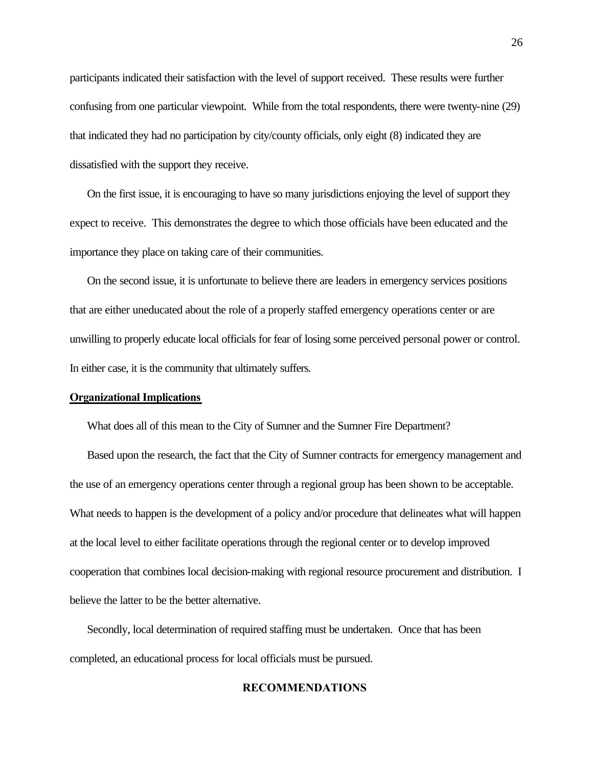participants indicated their satisfaction with the level of support received. These results were further confusing from one particular viewpoint. While from the total respondents, there were twenty-nine (29) that indicated they had no participation by city/county officials, only eight (8) indicated they are dissatisfied with the support they receive.

On the first issue, it is encouraging to have so many jurisdictions enjoying the level of support they expect to receive. This demonstrates the degree to which those officials have been educated and the importance they place on taking care of their communities.

On the second issue, it is unfortunate to believe there are leaders in emergency services positions that are either uneducated about the role of a properly staffed emergency operations center or are unwilling to properly educate local officials for fear of losing some perceived personal power or control. In either case, it is the community that ultimately suffers.

#### **Organizational Implications**

What does all of this mean to the City of Sumner and the Sumner Fire Department?

Based upon the research, the fact that the City of Sumner contracts for emergency management and the use of an emergency operations center through a regional group has been shown to be acceptable. What needs to happen is the development of a policy and/or procedure that delineates what will happen at the local level to either facilitate operations through the regional center or to develop improved cooperation that combines local decision-making with regional resource procurement and distribution. I believe the latter to be the better alternative.

Secondly, local determination of required staffing must be undertaken. Once that has been completed, an educational process for local officials must be pursued.

#### **RECOMMENDATIONS**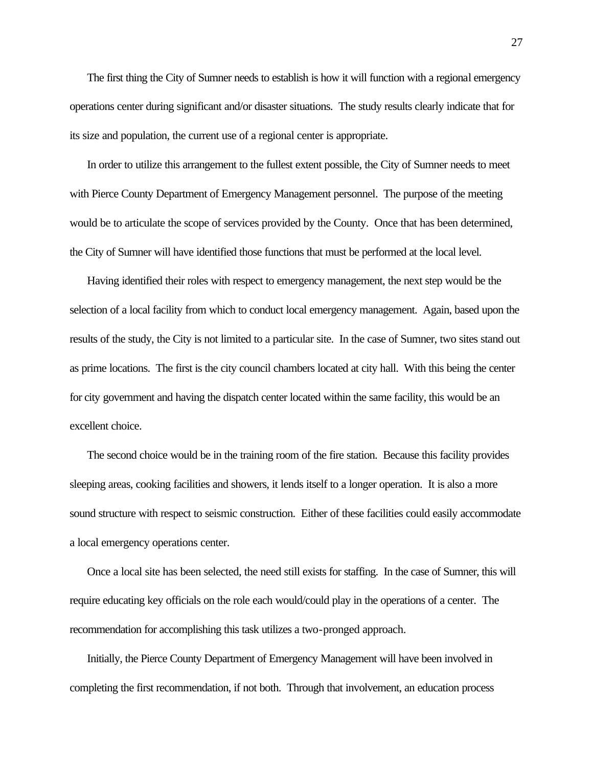The first thing the City of Sumner needs to establish is how it will function with a regional emergency operations center during significant and/or disaster situations. The study results clearly indicate that for its size and population, the current use of a regional center is appropriate.

In order to utilize this arrangement to the fullest extent possible, the City of Sumner needs to meet with Pierce County Department of Emergency Management personnel. The purpose of the meeting would be to articulate the scope of services provided by the County. Once that has been determined, the City of Sumner will have identified those functions that must be performed at the local level.

Having identified their roles with respect to emergency management, the next step would be the selection of a local facility from which to conduct local emergency management. Again, based upon the results of the study, the City is not limited to a particular site. In the case of Sumner, two sites stand out as prime locations. The first is the city council chambers located at city hall. With this being the center for city government and having the dispatch center located within the same facility, this would be an excellent choice.

The second choice would be in the training room of the fire station. Because this facility provides sleeping areas, cooking facilities and showers, it lends itself to a longer operation. It is also a more sound structure with respect to seismic construction. Either of these facilities could easily accommodate a local emergency operations center.

Once a local site has been selected, the need still exists for staffing. In the case of Sumner, this will require educating key officials on the role each would/could play in the operations of a center. The recommendation for accomplishing this task utilizes a two-pronged approach.

Initially, the Pierce County Department of Emergency Management will have been involved in completing the first recommendation, if not both. Through that involvement, an education process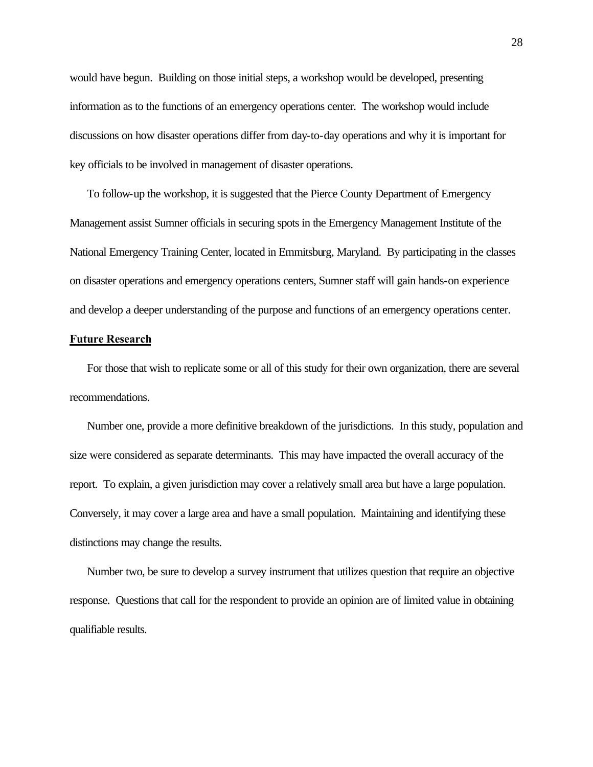would have begun. Building on those initial steps, a workshop would be developed, presenting information as to the functions of an emergency operations center. The workshop would include discussions on how disaster operations differ from day-to-day operations and why it is important for key officials to be involved in management of disaster operations.

To follow-up the workshop, it is suggested that the Pierce County Department of Emergency Management assist Sumner officials in securing spots in the Emergency Management Institute of the National Emergency Training Center, located in Emmitsburg, Maryland. By participating in the classes on disaster operations and emergency operations centers, Sumner staff will gain hands-on experience and develop a deeper understanding of the purpose and functions of an emergency operations center.

# **Future Research**

For those that wish to replicate some or all of this study for their own organization, there are several recommendations.

Number one, provide a more definitive breakdown of the jurisdictions. In this study, population and size were considered as separate determinants. This may have impacted the overall accuracy of the report. To explain, a given jurisdiction may cover a relatively small area but have a large population. Conversely, it may cover a large area and have a small population. Maintaining and identifying these distinctions may change the results.

Number two, be sure to develop a survey instrument that utilizes question that require an objective response. Questions that call for the respondent to provide an opinion are of limited value in obtaining qualifiable results.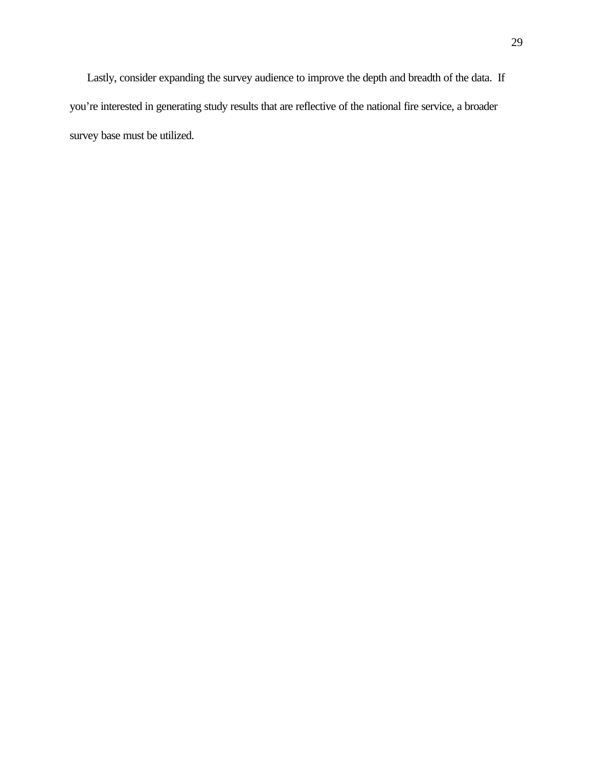Lastly, consider expanding the survey audience to improve the depth and breadth of the data. If you're interested in generating study results that are reflective of the national fire service, a broader survey base must be utilized.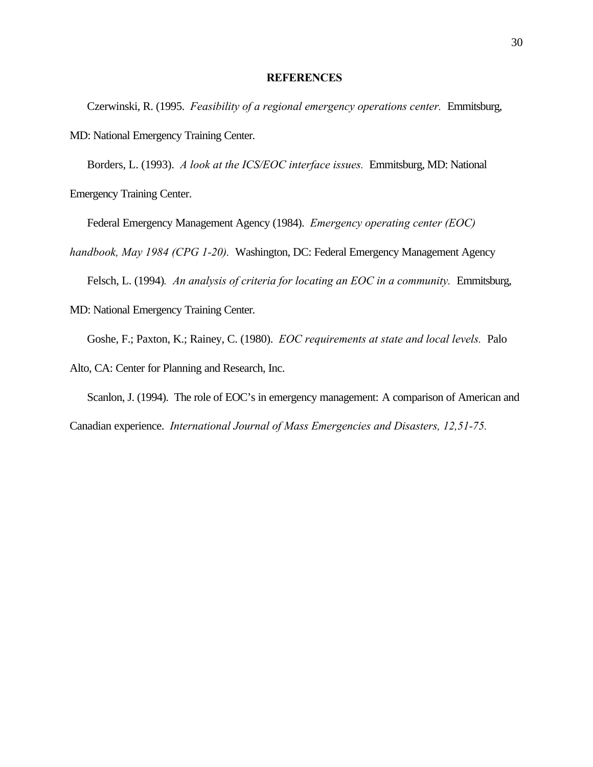#### **REFERENCES**

Czerwinski, R. (1995. *Feasibility of a regional emergency operations center.* Emmitsburg, MD: National Emergency Training Center.

Borders, L. (1993). *A look at the ICS/EOC interface issues.* Emmitsburg, MD: National Emergency Training Center.

Federal Emergency Management Agency (1984). *Emergency operating center (EOC)* 

*handbook, May 1984 (CPG 1-20).* Washington, DC: Federal Emergency Management Agency

Felsch, L. (1994)*. An analysis of criteria for locating an EOC in a community.* Emmitsburg,

MD: National Emergency Training Center.

Goshe, F.; Paxton, K.; Rainey, C. (1980). *EOC requirements at state and local levels.* Palo

Alto, CA: Center for Planning and Research, Inc.

Scanlon, J. (1994). The role of EOC's in emergency management: A comparison of American and Canadian experience. *International Journal of Mass Emergencies and Disasters, 12,51-75.*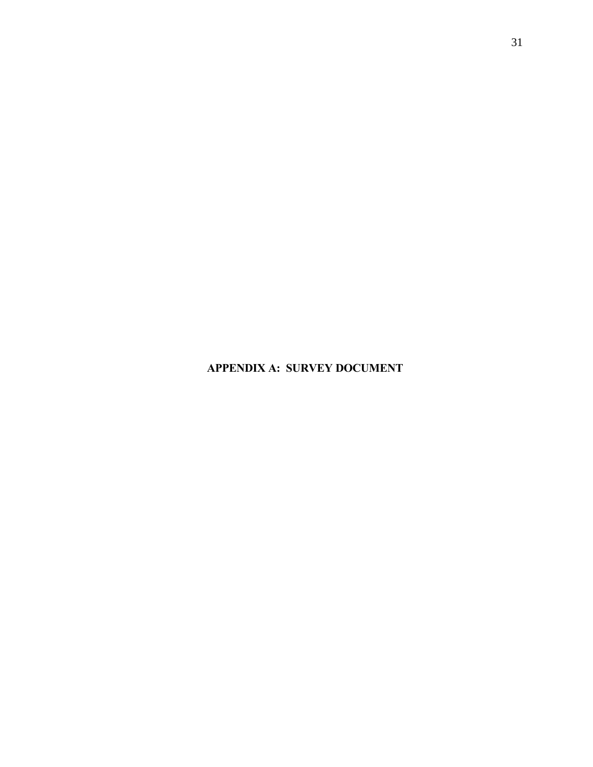**APPENDIX A: SURVEY DOCUMENT**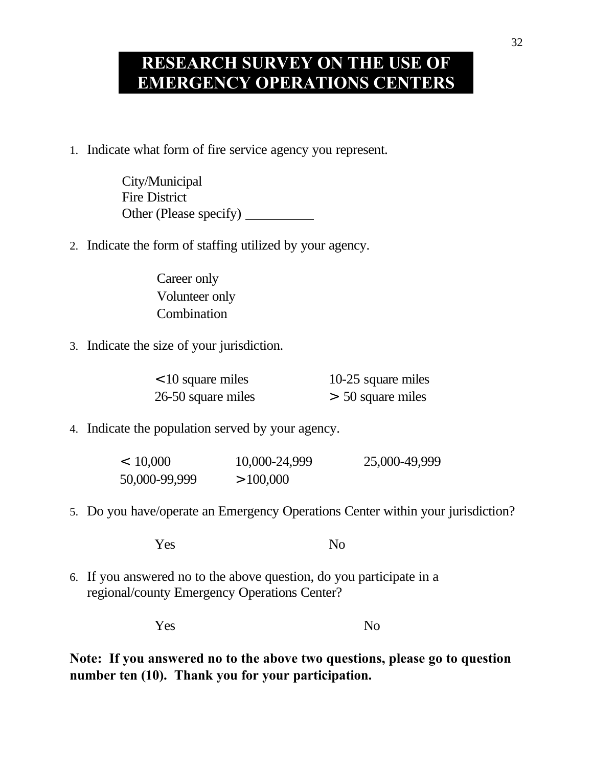# **RESEARCH SURVEY ON THE USE OF EMERGENCY OPERATIONS CENTERS**

1. Indicate what form of fire service agency you represent.

City/Municipal Fire District Other (Please specify)

2. Indicate the form of staffing utilized by your agency.

Career only Volunteer only Combination

3. Indicate the size of your jurisdiction.

| $<$ 10 square miles | 10-25 square miles  |
|---------------------|---------------------|
| 26-50 square miles  | $> 50$ square miles |

4. Indicate the population served by your agency.

 $< 10,000$   $10,000-24,999$   $25,000-49,999$  $50,000-99,999$   $> 100,000$ 

5. Do you have/operate an Emergency Operations Center within your jurisdiction?

Yes No

6. If you answered no to the above question, do you participate in a regional/county Emergency Operations Center?

Yes No

**Note: If you answered no to the above two questions, please go to question number ten (10). Thank you for your participation.**